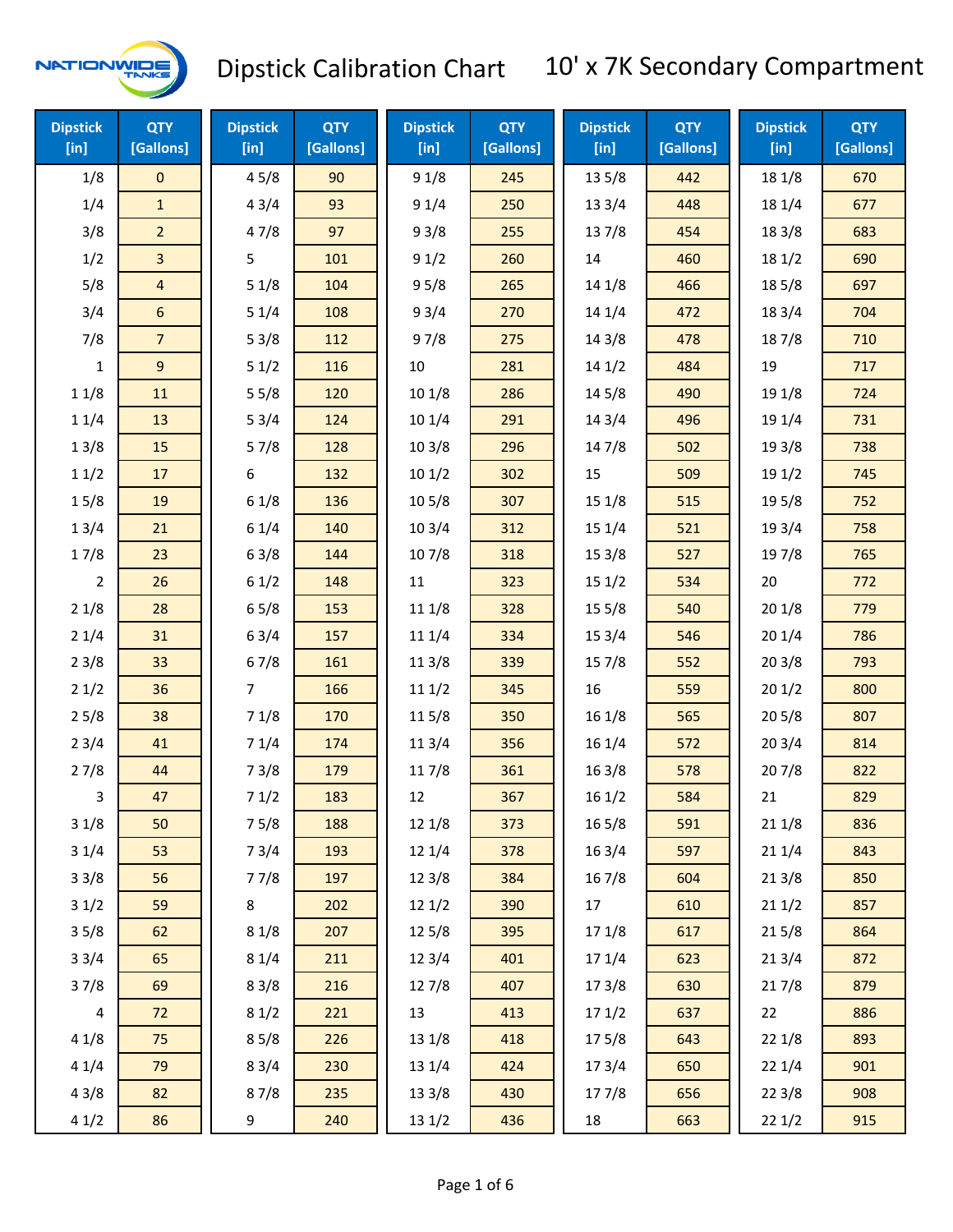

| <b>Dipstick</b><br>[in] | <b>QTY</b><br>[Gallons] | <b>Dipstick</b><br>$[$ in] | <b>QTY</b><br>[Gallons] | <b>Dipstick</b><br>[in] | <b>QTY</b><br>[Gallons] | <b>Dipstick</b><br>$[$ in] | <b>QTY</b><br>[Gallons] | <b>Dipstick</b><br>[in] | <b>QTY</b><br>[Gallons] |
|-------------------------|-------------------------|----------------------------|-------------------------|-------------------------|-------------------------|----------------------------|-------------------------|-------------------------|-------------------------|
| 1/8                     | $\mathsf{O}\xspace$     | 45/8                       | 90                      | 91/8                    | 245                     | 13 5/8                     | 442                     | 18 1/8                  | 670                     |
| 1/4                     | $\mathbf{1}$            | 43/4                       | 93                      | 91/4                    | 250                     | 13 3/4                     | 448                     | 18 1/4                  | 677                     |
| 3/8                     | $\overline{2}$          | 47/8                       | 97                      | 93/8                    | 255                     | 137/8                      | 454                     | 18 3/8                  | 683                     |
| 1/2                     | 3                       | 5                          | 101                     | 91/2                    | 260                     | 14                         | 460                     | 181/2                   | 690                     |
| 5/8                     | $\overline{4}$          | 51/8                       | 104                     | 95/8                    | 265                     | 14 1/8                     | 466                     | 185/8                   | 697                     |
| 3/4                     | $\boldsymbol{6}$        | 51/4                       | 108                     | 93/4                    | 270                     | 14 1/4                     | 472                     | 18 3/4                  | 704                     |
| 7/8                     | $\overline{7}$          | 53/8                       | 112                     | 97/8                    | 275                     | 14 3/8                     | 478                     | 187/8                   | 710                     |
| $\mathbf{1}$            | $9\,$                   | 51/2                       | 116                     | 10                      | 281                     | 141/2                      | 484                     | 19                      | 717                     |
| 11/8                    | 11                      | 55/8                       | 120                     | 101/8                   | 286                     | 14 5/8                     | 490                     | 19 1/8                  | 724                     |
| 11/4                    | 13                      | 53/4                       | 124                     | 10 1/4                  | 291                     | 143/4                      | 496                     | 19 1/4                  | 731                     |
| 13/8                    | 15                      | 57/8                       | 128                     | 103/8                   | 296                     | 147/8                      | 502                     | 19 3/8                  | 738                     |
| 11/2                    | 17                      | 6                          | 132                     | 101/2                   | 302                     | 15                         | 509                     | 19 1/2                  | 745                     |
| 15/8                    | 19                      | 61/8                       | 136                     | 10 <sub>5</sub> /8      | 307                     | 15 1/8                     | 515                     | 19 5/8                  | 752                     |
| 13/4                    | 21                      | 61/4                       | 140                     | 103/4                   | 312                     | 15 1/4                     | 521                     | 19 3/4                  | 758                     |
| 17/8                    | 23                      | 63/8                       | 144                     | 107/8                   | 318                     | 15 3/8                     | 527                     | 197/8                   | 765                     |
| $\overline{2}$          | 26                      | 61/2                       | 148                     | $11\,$                  | 323                     | 151/2                      | 534                     | 20                      | 772                     |
| 21/8                    | 28                      | 65/8                       | 153                     | 111/8                   | 328                     | 15 5/8                     | 540                     | 201/8                   | 779                     |
| 21/4                    | 31                      | 63/4                       | 157                     | 11 1/4                  | 334                     | 153/4                      | 546                     | 201/4                   | 786                     |
| 23/8                    | 33                      | 67/8                       | 161                     | 11 3/8                  | 339                     | 15 7/8                     | 552                     | 203/8                   | 793                     |
| 21/2                    | 36                      | $\overline{7}$             | 166                     | 111/2                   | 345                     | 16                         | 559                     | 201/2                   | 800                     |
| 25/8                    | 38                      | 71/8                       | 170                     | 115/8                   | 350                     | 161/8                      | 565                     | 205/8                   | 807                     |
| 23/4                    | 41                      | 71/4                       | 174                     | 11 3/4                  | 356                     | 16 1/4                     | 572                     | 203/4                   | 814                     |
| 27/8                    | 44                      | 73/8                       | 179                     | 11 7/8                  | 361                     | 16 3/8                     | 578                     | 207/8                   | 822                     |
| 3                       | 47                      | 71/2                       | 183                     | 12                      | 367                     | 161/2                      | 584                     | 21                      | 829                     |
| 31/8                    | 50                      | 75/8                       | 188                     | 12 1/8                  | 373                     | 16 5/8                     | 591                     | 211/8                   | 836                     |
| 31/4                    | 53                      | 73/4                       | 193                     | 12 1/4                  | 378                     | 16 3/4                     | 597                     | 211/4                   | 843                     |
| 33/8                    | 56                      | 77/8                       | 197                     | 12 3/8                  | 384                     | 16 7/8                     | 604                     | 213/8                   | 850                     |
| 31/2                    | 59                      | 8                          | 202                     | 12 1/2                  | 390                     | 17                         | 610                     | 211/2                   | 857                     |
| 35/8                    | 62                      | 81/8                       | 207                     | 12 5/8                  | 395                     | 17 1/8                     | 617                     | 215/8                   | 864                     |
| 33/4                    | 65                      | 81/4                       | 211                     | 12 3/4                  | 401                     | 17 1/4                     | 623                     | 213/4                   | 872                     |
| 37/8                    | 69                      | 83/8                       | 216                     | 12 7/8                  | 407                     | 173/8                      | 630                     | 217/8                   | 879                     |
| 4                       | 72                      | 81/2                       | 221                     | 13                      | 413                     | 171/2                      | 637                     | 22                      | 886                     |
| 41/8                    | 75                      | 85/8                       | 226                     | 13 1/8                  | 418                     | 175/8                      | 643                     | 221/8                   | 893                     |
| 41/4                    | 79                      | 83/4                       | 230                     | 13 1/4                  | 424                     | 17 3/4                     | 650                     | 221/4                   | 901                     |
| 43/8                    | 82                      | 87/8                       | 235                     | 13 3/8                  | 430                     | 177/8                      | 656                     | 223/8                   | 908                     |
| 41/2                    | 86                      | 9                          | 240                     | 13 1/2                  | 436                     | 18                         | 663                     | 221/2                   | 915                     |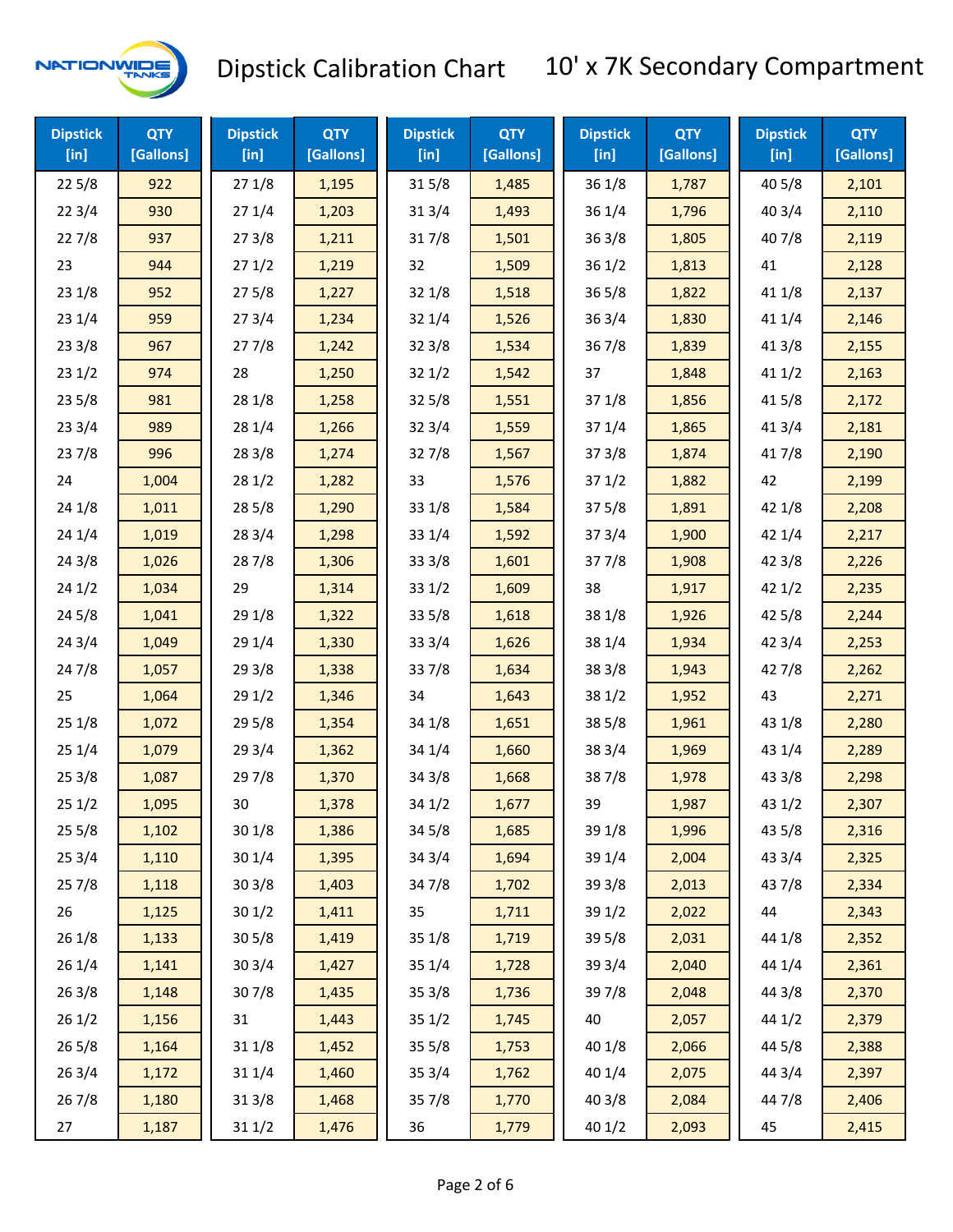

| <b>Dipstick</b><br>[in] | <b>QTY</b><br>[Gallons] | <b>Dipstick</b><br>[in] | <b>QTY</b><br>[Gallons] | <b>Dipstick</b><br>$[$ in] | <b>QTY</b><br>[Gallons] | <b>Dipstick</b><br>$[$ in] | <b>QTY</b><br>[Gallons] | <b>Dipstick</b><br>$[$ in] | <b>QTY</b><br>[Gallons] |
|-------------------------|-------------------------|-------------------------|-------------------------|----------------------------|-------------------------|----------------------------|-------------------------|----------------------------|-------------------------|
| 225/8                   | 922                     | 271/8                   | 1,195                   | 315/8                      | 1,485                   | 36 1/8                     | 1,787                   | 40 5/8                     | 2,101                   |
| 223/4                   | 930                     | 271/4                   | 1,203                   | 31 3/4                     | 1,493                   | 36 1/4                     | 1,796                   | 403/4                      | 2,110                   |
| 227/8                   | 937                     | 273/8                   | 1,211                   | 317/8                      | 1,501                   | 36 3/8                     | 1,805                   | 407/8                      | 2,119                   |
| 23                      | 944                     | 271/2                   | 1,219                   | 32                         | 1,509                   | 36 1/2                     | 1,813                   | 41                         | 2,128                   |
| 231/8                   | 952                     | 275/8                   | 1,227                   | 32 1/8                     | 1,518                   | 36 5/8                     | 1,822                   | 41 1/8                     | 2,137                   |
| 231/4                   | 959                     | 273/4                   | 1,234                   | 32 1/4                     | 1,526                   | 36 3/4                     | 1,830                   | 41 1/4                     | 2,146                   |
| 233/8                   | 967                     | 277/8                   | 1,242                   | 323/8                      | 1,534                   | 367/8                      | 1,839                   | 413/8                      | 2,155                   |
| 231/2                   | 974                     | 28                      | 1,250                   | 321/2                      | 1,542                   | 37                         | 1,848                   | 411/2                      | 2,163                   |
| 235/8                   | 981                     | 28 1/8                  | 1,258                   | 325/8                      | 1,551                   | 37 1/8                     | 1,856                   | 41 5/8                     | 2,172                   |
| 233/4                   | 989                     | 28 1/4                  | 1,266                   | 323/4                      | 1,559                   | 37 1/4                     | 1,865                   | 41 3/4                     | 2,181                   |
| 237/8                   | 996                     | 28 3/8                  | 1,274                   | 327/8                      | 1,567                   | 37 3/8                     | 1,874                   | 417/8                      | 2,190                   |
| 24                      | 1,004                   | 281/2                   | 1,282                   | 33                         | 1,576                   | 371/2                      | 1,882                   | 42                         | 2,199                   |
| 241/8                   | 1,011                   | 285/8                   | 1,290                   | 33 1/8                     | 1,584                   | 37 5/8                     | 1,891                   | 42 1/8                     | 2,208                   |
| 241/4                   | 1,019                   | 283/4                   | 1,298                   | 33 1/4                     | 1,592                   | 37 3/4                     | 1,900                   | 42 1/4                     | 2,217                   |
| 243/8                   | 1,026                   | 287/8                   | 1,306                   | 33 3/8                     | 1,601                   | 377/8                      | 1,908                   | 42 3/8                     | 2,226                   |
| 241/2                   | 1,034                   | 29                      | 1,314                   | 33 1/2                     | 1,609                   | 38                         | 1,917                   | 421/2                      | 2,235                   |
| 245/8                   | 1,041                   | 29 1/8                  | 1,322                   | 33 5/8                     | 1,618                   | 38 1/8                     | 1,926                   | 42 5/8                     | 2,244                   |
| 243/4                   | 1,049                   | 29 1/4                  | 1,330                   | 33 3/4                     | 1,626                   | 38 1/4                     | 1,934                   | 42 3/4                     | 2,253                   |
| 24 7/8                  | 1,057                   | 293/8                   | 1,338                   | 337/8                      | 1,634                   | 38 3/8                     | 1,943                   | 42 7/8                     | 2,262                   |
| 25                      | 1,064                   | 291/2                   | 1,346                   | 34                         | 1,643                   | 38 1/2                     | 1,952                   | 43                         | 2,271                   |
| 251/8                   | 1,072                   | 295/8                   | 1,354                   | 34 1/8                     | 1,651                   | 38 5/8                     | 1,961                   | 43 1/8                     | 2,280                   |
| 251/4                   | 1,079                   | 29 3/4                  | 1,362                   | 34 1/4                     | 1,660                   | 38 3/4                     | 1,969                   | 43 1/4                     | 2,289                   |
| 253/8                   | 1,087                   | 297/8                   | 1,370                   | 34 3/8                     | 1,668                   | 387/8                      | 1,978                   | 43 3/8                     | 2,298                   |
| 251/2                   | 1,095                   | 30                      | 1,378                   | 34 1/2                     | 1,677                   | 39                         | 1,987                   | 43 1/2                     | 2,307                   |
| 255/8                   | 1,102                   | 301/8                   | 1,386                   | 345/8                      | 1,685                   | 39 1/8                     | 1,996                   | 435/8                      | 2,316                   |
| 253/4                   | 1,110                   | 30 1/4                  | 1,395                   | 34 3/4                     | 1,694                   | 39 1/4                     | 2,004                   | 43 3/4                     | 2,325                   |
| 257/8                   | 1,118                   | 30 3/8                  | 1,403                   | 347/8                      | 1,702                   | 39 3/8                     | 2,013                   | 437/8                      | 2,334                   |
| 26                      | 1,125                   | 30 1/2                  | 1,411                   | 35                         | 1,711                   | 39 1/2                     | 2,022                   | 44                         | 2,343                   |
| 261/8                   | 1,133                   | 30 5/8                  | 1,419                   | 35 1/8                     | 1,719                   | 39 5/8                     | 2,031                   | 44 1/8                     | 2,352                   |
| 26 1/4                  | 1,141                   | 303/4                   | 1,427                   | 35 1/4                     | 1,728                   | 39 3/4                     | 2,040                   | 44 1/4                     | 2,361                   |
| 263/8                   | 1,148                   | 307/8                   | 1,435                   | 35 3/8                     | 1,736                   | 397/8                      | 2,048                   | 44 3/8                     | 2,370                   |
| 261/2                   | 1,156                   | 31                      | 1,443                   | 351/2                      | 1,745                   | 40                         | 2,057                   | 44 1/2                     | 2,379                   |
| 26 5/8                  | 1,164                   | 31 1/8                  | 1,452                   | 35 5/8                     | 1,753                   | 40 1/8                     | 2,066                   | 44 5/8                     | 2,388                   |
| 263/4                   | 1,172                   | 31 1/4                  | 1,460                   | 35 3/4                     | 1,762                   | 40 1/4                     | 2,075                   | 44 3/4                     | 2,397                   |
| 267/8                   | 1,180                   | 31 3/8                  | 1,468                   | 357/8                      | 1,770                   | 40 3/8                     | 2,084                   | 447/8                      | 2,406                   |
| 27                      | 1,187                   | 311/2                   | 1,476                   | 36                         | 1,779                   | 401/2                      | 2,093                   | 45                         | 2,415                   |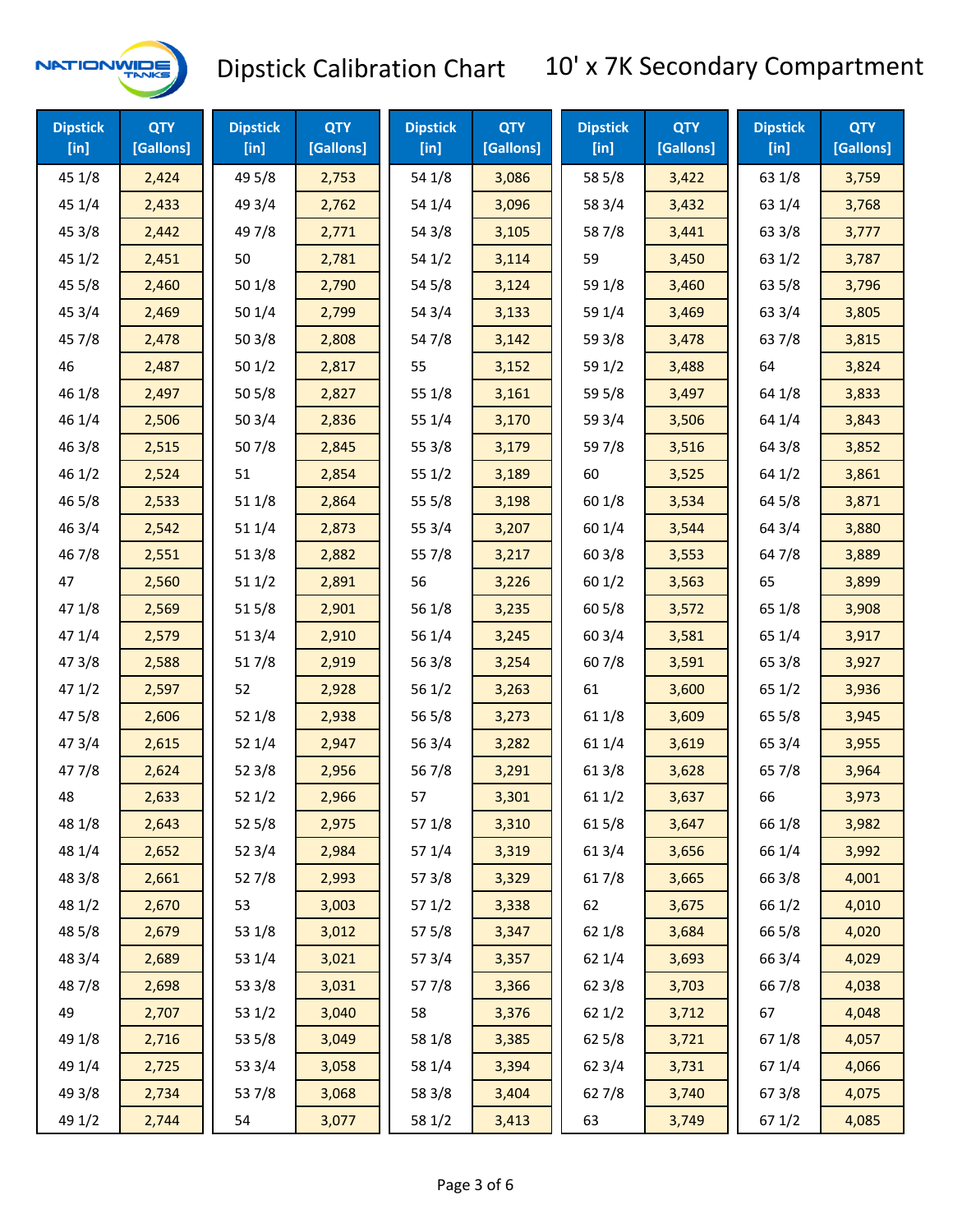

| <b>Dipstick</b><br>$[$ in] | <b>QTY</b><br>[Gallons] | <b>Dipstick</b><br>$[$ in] | <b>QTY</b><br>[Gallons] | <b>Dipstick</b><br>$[$ in] | <b>QTY</b><br>[Gallons] | <b>Dipstick</b><br>$[$ in] | <b>QTY</b><br>[Gallons] | <b>Dipstick</b><br>$[$ in] | <b>QTY</b><br>[Gallons] |
|----------------------------|-------------------------|----------------------------|-------------------------|----------------------------|-------------------------|----------------------------|-------------------------|----------------------------|-------------------------|
| 45 1/8                     | 2,424                   | 49 5/8                     | 2,753                   | 54 1/8                     | 3,086                   | 58 5/8                     | 3,422                   | 63 1/8                     | 3,759                   |
| 45 1/4                     | 2,433                   | 49 3/4                     | 2,762                   | 54 1/4                     | 3,096                   | 58 3/4                     | 3,432                   | 63 1/4                     | 3,768                   |
| 45 3/8                     | 2,442                   | 49 7/8                     | 2,771                   | 54 3/8                     | 3,105                   | 587/8                      | 3,441                   | 63 3/8                     | 3,777                   |
| 45 1/2                     | 2,451                   | 50                         | 2,781                   | 54 1/2                     | 3,114                   | 59                         | 3,450                   | 63 1/2                     | 3,787                   |
| 45 5/8                     | 2,460                   | 50 1/8                     | 2,790                   | 54 5/8                     | 3,124                   | 59 1/8                     | 3,460                   | 63 5/8                     | 3,796                   |
| 45 3/4                     | 2,469                   | 50 1/4                     | 2,799                   | 54 3/4                     | 3,133                   | 59 1/4                     | 3,469                   | 63 3/4                     | 3,805                   |
| 45 7/8                     | 2,478                   | 503/8                      | 2,808                   | 547/8                      | 3,142                   | 59 3/8                     | 3,478                   | 63 7/8                     | 3,815                   |
| 46                         | 2,487                   | 501/2                      | 2,817                   | 55                         | 3,152                   | 59 1/2                     | 3,488                   | 64                         | 3,824                   |
| 46 1/8                     | 2,497                   | 505/8                      | 2,827                   | 55 1/8                     | 3,161                   | 59 5/8                     | 3,497                   | 64 1/8                     | 3,833                   |
| 46 1/4                     | 2,506                   | 503/4                      | 2,836                   | 55 1/4                     | 3,170                   | 59 3/4                     | 3,506                   | 64 1/4                     | 3,843                   |
| 46 3/8                     | 2,515                   | 507/8                      | 2,845                   | 55 3/8                     | 3,179                   | 597/8                      | 3,516                   | 64 3/8                     | 3,852                   |
| 46 1/2                     | 2,524                   | 51                         | 2,854                   | 551/2                      | 3,189                   | 60                         | 3,525                   | 64 1/2                     | 3,861                   |
| 46 5/8                     | 2,533                   | 51 1/8                     | 2,864                   | 55 5/8                     | 3,198                   | 60 1/8                     | 3,534                   | 64 5/8                     | 3,871                   |
| 46 3/4                     | 2,542                   | 51 1/4                     | 2,873                   | 55 3/4                     | 3,207                   | 60 1/4                     | 3,544                   | 64 3/4                     | 3,880                   |
| 46 7/8                     | 2,551                   | 513/8                      | 2,882                   | 55 7/8                     | 3,217                   | 603/8                      | 3,553                   | 647/8                      | 3,889                   |
| 47                         | 2,560                   | 511/2                      | 2,891                   | 56                         | 3,226                   | 601/2                      | 3,563                   | 65                         | 3,899                   |
| 47 1/8                     | 2,569                   | 515/8                      | 2,901                   | 56 1/8                     | 3,235                   | 60 5/8                     | 3,572                   | 65 1/8                     | 3,908                   |
| 47 1/4                     | 2,579                   | 513/4                      | 2,910                   | 56 1/4                     | 3,245                   | 60 3/4                     | 3,581                   | 65 1/4                     | 3,917                   |
| 473/8                      | 2,588                   | 517/8                      | 2,919                   | 56 3/8                     | 3,254                   | 607/8                      | 3,591                   | 65 3/8                     | 3,927                   |
| 471/2                      | 2,597                   | 52                         | 2,928                   | 56 1/2                     | 3,263                   | 61                         | 3,600                   | 65 1/2                     | 3,936                   |
| 475/8                      | 2,606                   | 52 1/8                     | 2,938                   | 56 5/8                     | 3,273                   | 61 1/8                     | 3,609                   | 65 5/8                     | 3,945                   |
| 47 3/4                     | 2,615                   | 52 1/4                     | 2,947                   | 56 3/4                     | 3,282                   | 61 1/4                     | 3,619                   | 65 3/4                     | 3,955                   |
| 477/8                      | 2,624                   | 523/8                      | 2,956                   | 567/8                      | 3,291                   | 61 3/8                     | 3,628                   | 65 7/8                     | 3,964                   |
| 48                         | 2,633                   | 52 1/2                     | 2,966                   | 57                         | 3,301                   | 61 1/2                     | 3,637                   | 66                         | 3,973                   |
| 48 1/8                     | 2,643                   | 525/8                      | 2,975                   | 57 1/8                     | 3,310                   | 615/8                      | 3,647                   | 66 1/8                     | 3,982                   |
| 48 1/4                     | 2,652                   | 52 3/4                     | 2,984                   | 57 1/4                     | 3,319                   | 61 3/4                     | 3,656                   | 66 1/4                     | 3,992                   |
| 48 3/8                     | 2,661                   | 527/8                      | 2,993                   | 57 3/8                     | 3,329                   | 617/8                      | 3,665                   | 66 3/8                     | 4,001                   |
| 48 1/2                     | 2,670                   | 53                         | 3,003                   | 571/2                      | 3,338                   | 62                         | 3,675                   | 66 1/2                     | 4,010                   |
| 48 5/8                     | 2,679                   | 53 1/8                     | 3,012                   | 57 5/8                     | 3,347                   | 62 1/8                     | 3,684                   | 66 5/8                     | 4,020                   |
| 48 3/4                     | 2,689                   | 53 1/4                     | 3,021                   | 573/4                      | 3,357                   | 62 1/4                     | 3,693                   | 66 3/4                     | 4,029                   |
| 487/8                      | 2,698                   | 53 3/8                     | 3,031                   | 577/8                      | 3,366                   | 62 3/8                     | 3,703                   | 667/8                      | 4,038                   |
| 49                         | 2,707                   | 53 1/2                     | 3,040                   | 58                         | 3,376                   | 621/2                      | 3,712                   | 67                         | 4,048                   |
| 49 1/8                     | 2,716                   | 53 5/8                     | 3,049                   | 58 1/8                     | 3,385                   | 62 5/8                     | 3,721                   | 671/8                      | 4,057                   |
| 49 1/4                     | 2,725                   | 53 3/4                     | 3,058                   | 58 1/4                     | 3,394                   | 62 3/4                     | 3,731                   | 67 1/4                     | 4,066                   |
| 49 3/8                     | 2,734                   | 537/8                      | 3,068                   | 58 3/8                     | 3,404                   | 627/8                      | 3,740                   | 67 3/8                     | 4,075                   |
| 49 1/2                     | 2,744                   | 54                         | 3,077                   | 58 1/2                     | 3,413                   | 63                         | 3,749                   | 67 1/2                     | 4,085                   |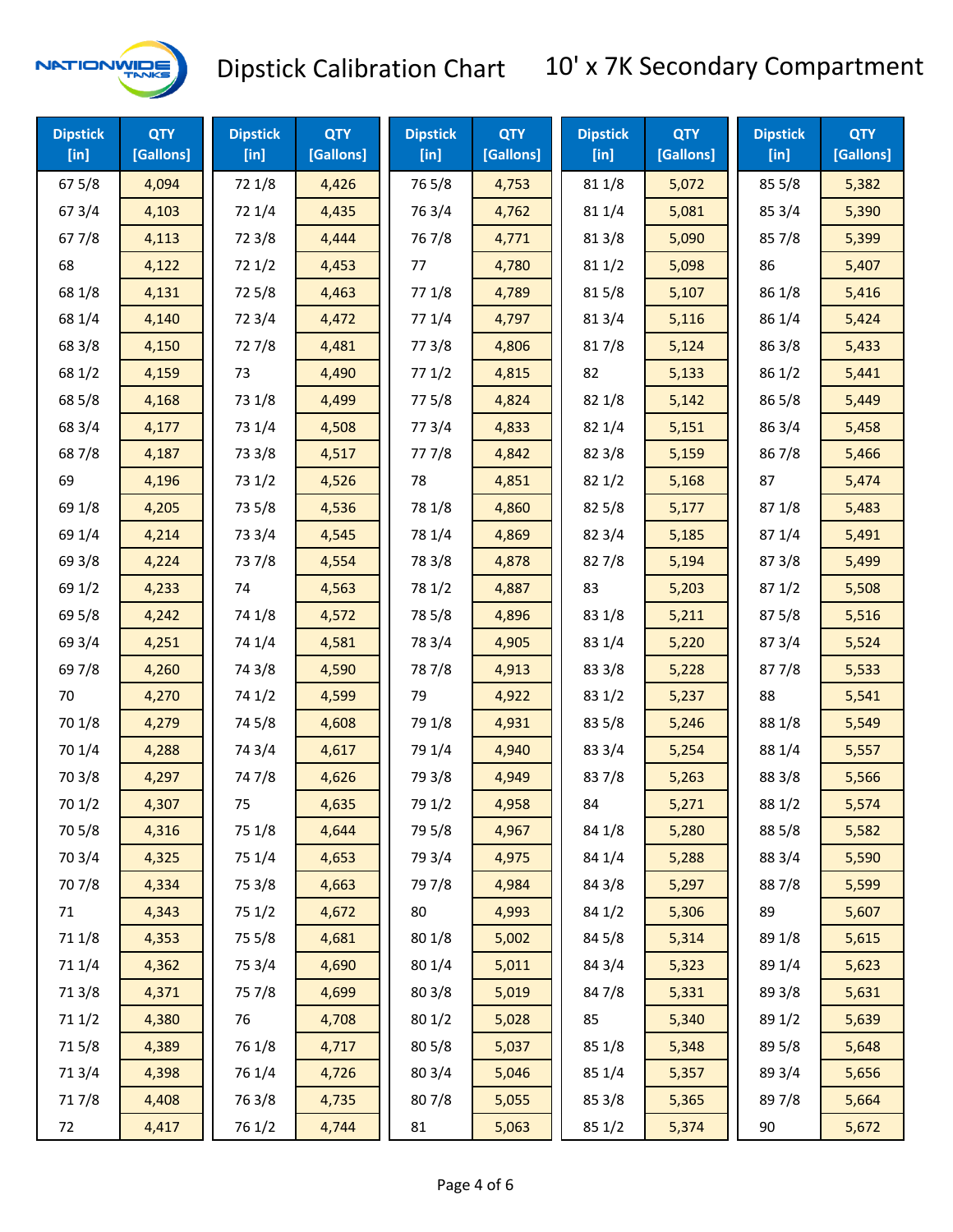

| <b>Dipstick</b><br>$[$ in] | <b>QTY</b><br>[Gallons] | <b>Dipstick</b><br>$[$ in] | <b>QTY</b><br>[Gallons] | <b>Dipstick</b><br>$[$ in] | <b>QTY</b><br>[Gallons] | <b>Dipstick</b><br>$[$ in] | <b>QTY</b><br>[Gallons] | <b>Dipstick</b><br>$[$ in] | <b>QTY</b><br>[Gallons] |
|----------------------------|-------------------------|----------------------------|-------------------------|----------------------------|-------------------------|----------------------------|-------------------------|----------------------------|-------------------------|
| 67 5/8                     | 4,094                   | 72 1/8                     | 4,426                   | 765/8                      | 4,753                   | 81 1/8                     | 5,072                   | 85 5/8                     | 5,382                   |
| 67 3/4                     | 4,103                   | 72 1/4                     | 4,435                   | 763/4                      | 4,762                   | 81 1/4                     | 5,081                   | 85 3/4                     | 5,390                   |
| 67 7/8                     | 4,113                   | 72 3/8                     | 4,444                   | 767/8                      | 4,771                   | 81 3/8                     | 5,090                   | 857/8                      | 5,399                   |
| 68                         | 4,122                   | 721/2                      | 4,453                   | 77                         | 4,780                   | 81 1/2                     | 5,098                   | 86                         | 5,407                   |
| 68 1/8                     | 4,131                   | 725/8                      | 4,463                   | 77 1/8                     | 4,789                   | 815/8                      | 5,107                   | 86 1/8                     | 5,416                   |
| 68 1/4                     | 4,140                   | 72 3/4                     | 4,472                   | 77 1/4                     | 4,797                   | 813/4                      | 5,116                   | 86 1/4                     | 5,424                   |
| 68 3/8                     | 4,150                   | 727/8                      | 4,481                   | 77 3/8                     | 4,806                   | 817/8                      | 5,124                   | 86 3/8                     | 5,433                   |
| 68 1/2                     | 4,159                   | 73                         | 4,490                   | 771/2                      | 4,815                   | 82                         | 5,133                   | 86 1/2                     | 5,441                   |
| 68 5/8                     | 4,168                   | 73 1/8                     | 4,499                   | 775/8                      | 4,824                   | 82 1/8                     | 5,142                   | 86 5/8                     | 5,449                   |
| 68 3/4                     | 4,177                   | 73 1/4                     | 4,508                   | 773/4                      | 4,833                   | 82 1/4                     | 5,151                   | 86 3/4                     | 5,458                   |
| 687/8                      | 4,187                   | 73 3/8                     | 4,517                   | 777/8                      | 4,842                   | 82 3/8                     | 5,159                   | 867/8                      | 5,466                   |
| 69                         | 4,196                   | 73 1/2                     | 4,526                   | 78                         | 4,851                   | 821/2                      | 5,168                   | 87                         | 5,474                   |
| 69 1/8                     | 4,205                   | 73 5/8                     | 4,536                   | 78 1/8                     | 4,860                   | 82 5/8                     | 5,177                   | 871/8                      | 5,483                   |
| 69 1/4                     | 4,214                   | 73 3/4                     | 4,545                   | 78 1/4                     | 4,869                   | 82 3/4                     | 5,185                   | 871/4                      | 5,491                   |
| 69 3/8                     | 4,224                   | 737/8                      | 4,554                   | 78 3/8                     | 4,878                   | 827/8                      | 5,194                   | 87 3/8                     | 5,499                   |
| 69 1/2                     | 4,233                   | 74                         | 4,563                   | 78 1/2                     | 4,887                   | 83                         | 5,203                   | 871/2                      | 5,508                   |
| 69 5/8                     | 4,242                   | 74 1/8                     | 4,572                   | 78 5/8                     | 4,896                   | 83 1/8                     | 5,211                   | 87 5/8                     | 5,516                   |
| 69 3/4                     | 4,251                   | 74 1/4                     | 4,581                   | 78 3/4                     | 4,905                   | 83 1/4                     | 5,220                   | 87 3/4                     | 5,524                   |
| 697/8                      | 4,260                   | 74 3/8                     | 4,590                   | 787/8                      | 4,913                   | 83 3/8                     | 5,228                   | 877/8                      | 5,533                   |
| 70                         | 4,270                   | 74 1/2                     | 4,599                   | 79                         | 4,922                   | 83 1/2                     | 5,237                   | 88                         | 5,541                   |
| 70 1/8                     | 4,279                   | 74 5/8                     | 4,608                   | 79 1/8                     | 4,931                   | 83 5/8                     | 5,246                   | 88 1/8                     | 5,549                   |
| 70 1/4                     | 4,288                   | 74 3/4                     | 4,617                   | 79 1/4                     | 4,940                   | 83 3/4                     | 5,254                   | 88 1/4                     | 5,557                   |
| 70 3/8                     | 4,297                   | 747/8                      | 4,626                   | 79 3/8                     | 4,949                   | 837/8                      | 5,263                   | 88 3/8                     | 5,566                   |
| 70 1/2                     | 4,307                   | 75                         | 4,635                   | 79 1/2                     | 4,958                   | 84                         | 5,271                   | 88 1/2                     | 5,574                   |
| 70 5/8                     | 4,316                   | 75 1/8                     | 4,644                   | 79 5/8                     | 4,967                   | 84 1/8                     | 5,280                   | 88 5/8                     | 5,582                   |
| 70 3/4                     | 4,325                   | 75 1/4                     | 4,653                   | 79 3/4                     | 4,975                   | 84 1/4                     | 5,288                   | 88 3/4                     | 5,590                   |
| 707/8                      | 4,334                   | 75 3/8                     | 4,663                   | 79 7/8                     | 4,984                   | 84 3/8                     | 5,297                   | 887/8                      | 5,599                   |
| 71                         | 4,343                   | 75 1/2                     | 4,672                   | 80                         | 4,993                   | 84 1/2                     | 5,306                   | 89                         | 5,607                   |
| 71 1/8                     | 4,353                   | 75 5/8                     | 4,681                   | 80 1/8                     | 5,002                   | 84 5/8                     | 5,314                   | 89 1/8                     | 5,615                   |
| 71 1/4                     | 4,362                   | 75 3/4                     | 4,690                   | 80 1/4                     | 5,011                   | 84 3/4                     | 5,323                   | 89 1/4                     | 5,623                   |
| 713/8                      | 4,371                   | 75 7/8                     | 4,699                   | 80 3/8                     | 5,019                   | 847/8                      | 5,331                   | 89 3/8                     | 5,631                   |
| 71 1/2                     | 4,380                   | 76                         | 4,708                   | 80 1/2                     | 5,028                   | 85                         | 5,340                   | 89 1/2                     | 5,639                   |
| 715/8                      | 4,389                   | 76 1/8                     | 4,717                   | 805/8                      | 5,037                   | 85 1/8                     | 5,348                   | 89 5/8                     | 5,648                   |
| 71 3/4                     | 4,398                   | 76 1/4                     | 4,726                   | 80 3/4                     | 5,046                   | 85 1/4                     | 5,357                   | 89 3/4                     | 5,656                   |
| 717/8                      | 4,408                   | 763/8                      | 4,735                   | 807/8                      | 5,055                   | 85 3/8                     | 5,365                   | 897/8                      | 5,664                   |
| 72                         | 4,417                   | 76 1/2                     | 4,744                   | 81                         | 5,063                   | 85 1/2                     | 5,374                   | 90                         | 5,672                   |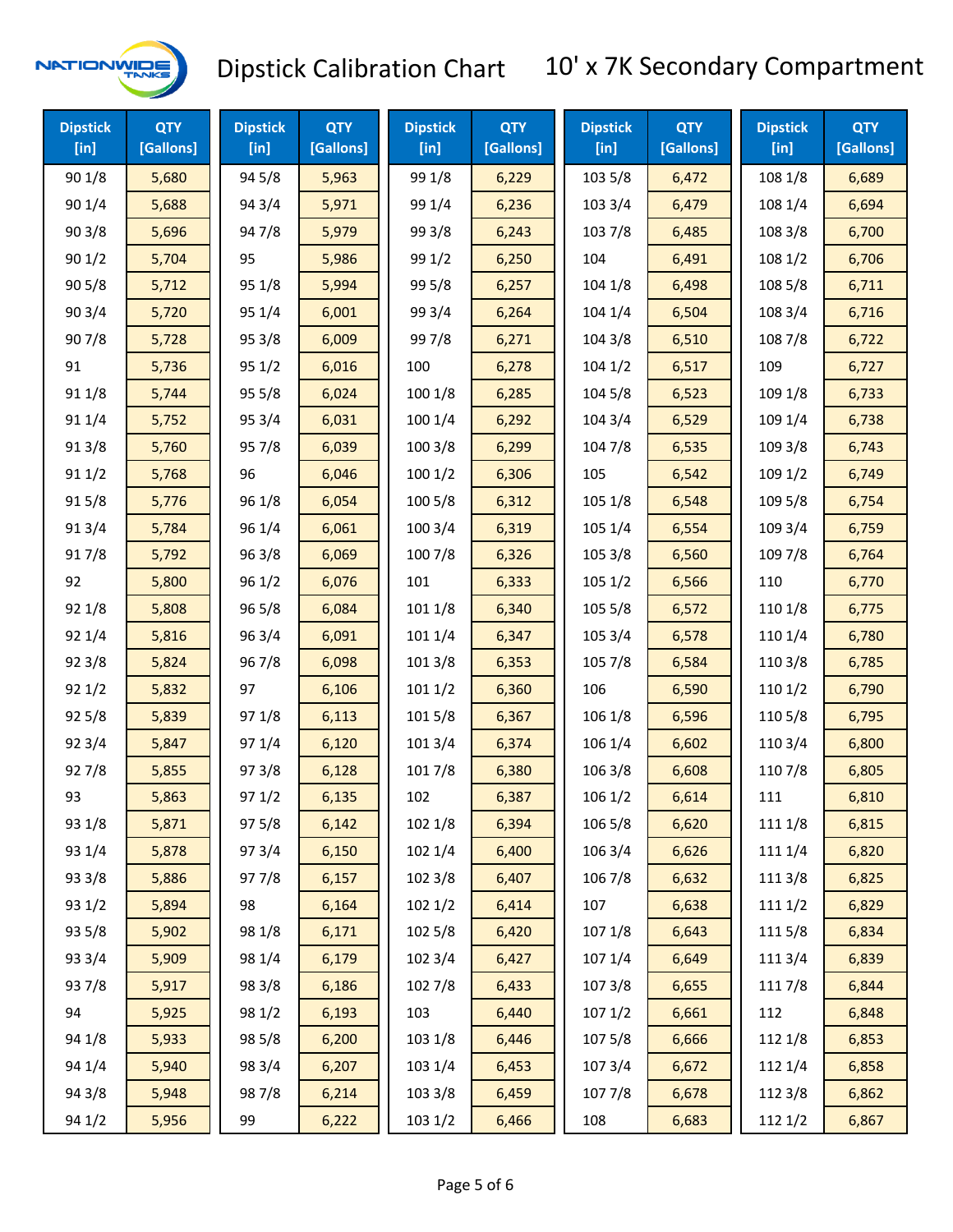

| <b>Dipstick</b><br>$[$ in] | <b>QTY</b><br>[Gallons] | <b>Dipstick</b><br>$[$ in] | <b>QTY</b><br>[Gallons] | <b>Dipstick</b><br>$[$ in] | <b>QTY</b><br>[Gallons] | <b>Dipstick</b><br>$[$ in] | <b>QTY</b><br>[Gallons] | <b>Dipstick</b><br>$[$ in] | <b>QTY</b><br>[Gallons] |
|----------------------------|-------------------------|----------------------------|-------------------------|----------------------------|-------------------------|----------------------------|-------------------------|----------------------------|-------------------------|
| 90 1/8                     | 5,680                   | 94 5/8                     | 5,963                   | 99 1/8                     | 6,229                   | 103 5/8                    | 6,472                   | 108 1/8                    | 6,689                   |
| 90 1/4                     | 5,688                   | 94 3/4                     | 5,971                   | 99 1/4                     | 6,236                   | 103 3/4                    | 6,479                   | 108 1/4                    | 6,694                   |
| 903/8                      | 5,696                   | 947/8                      | 5,979                   | 99 3/8                     | 6,243                   | 103 7/8                    | 6,485                   | 108 3/8                    | 6,700                   |
| 90 1/2                     | 5,704                   | 95                         | 5,986                   | 99 1/2                     | 6,250                   | 104                        | 6,491                   | 108 1/2                    | 6,706                   |
| 90 5/8                     | 5,712                   | 95 1/8                     | 5,994                   | 99 5/8                     | 6,257                   | 104 1/8                    | 6,498                   | 108 5/8                    | 6,711                   |
| 90 3/4                     | 5,720                   | 95 1/4                     | 6,001                   | 99 3/4                     | 6,264                   | 104 1/4                    | 6,504                   | 108 3/4                    | 6,716                   |
| 907/8                      | 5,728                   | 95 3/8                     | 6,009                   | 997/8                      | 6,271                   | 104 3/8                    | 6,510                   | 108 7/8                    | 6,722                   |
| 91                         | 5,736                   | 95 1/2                     | 6,016                   | 100                        | 6,278                   | 104 1/2                    | 6,517                   | 109                        | 6,727                   |
| 91 1/8                     | 5,744                   | 95 5/8                     | 6,024                   | 100 1/8                    | 6,285                   | 104 5/8                    | 6,523                   | 109 1/8                    | 6,733                   |
| 91 1/4                     | 5,752                   | 95 3/4                     | 6,031                   | 1001/4                     | 6,292                   | 104 3/4                    | 6,529                   | 109 1/4                    | 6,738                   |
| 91 3/8                     | 5,760                   | 95 7/8                     | 6,039                   | 100 3/8                    | 6,299                   | 104 7/8                    | 6,535                   | 109 3/8                    | 6,743                   |
| 911/2                      | 5,768                   | 96                         | 6,046                   | 1001/2                     | 6,306                   | 105                        | 6,542                   | 109 1/2                    | 6,749                   |
| 915/8                      | 5,776                   | 96 1/8                     | 6,054                   | 100 5/8                    | 6,312                   | 105 1/8                    | 6,548                   | 109 5/8                    | 6,754                   |
| 913/4                      | 5,784                   | 96 1/4                     | 6,061                   | 100 3/4                    | 6,319                   | 105 1/4                    | 6,554                   | 109 3/4                    | 6,759                   |
| 917/8                      | 5,792                   | 96 3/8                     | 6,069                   | 100 7/8                    | 6,326                   | 105 3/8                    | 6,560                   | 109 7/8                    | 6,764                   |
| 92                         | 5,800                   | 96 1/2                     | 6,076                   | 101                        | 6,333                   | 105 1/2                    | 6,566                   | 110                        | 6,770                   |
| 92 1/8                     | 5,808                   | 96 5/8                     | 6,084                   | 101 1/8                    | 6,340                   | 105 5/8                    | 6,572                   | 110 1/8                    | 6,775                   |
| 92 1/4                     | 5,816                   | 96 3/4                     | 6,091                   | 101 1/4                    | 6,347                   | 105 3/4                    | 6,578                   | 110 1/4                    | 6,780                   |
| 92 3/8                     | 5,824                   | 967/8                      | 6,098                   | 101 3/8                    | 6,353                   | 105 7/8                    | 6,584                   | 110 3/8                    | 6,785                   |
| 92 1/2                     | 5,832                   | 97                         | 6,106                   | 1011/2                     | 6,360                   | 106                        | 6,590                   | 110 1/2                    | 6,790                   |
| 925/8                      | 5,839                   | 97 1/8                     | 6,113                   | 101 5/8                    | 6,367                   | 106 1/8                    | 6,596                   | 110 5/8                    | 6,795                   |
| 92 3/4                     | 5,847                   | 97 1/4                     | 6,120                   | 101 3/4                    | 6,374                   | 106 1/4                    | 6,602                   | 110 3/4                    | 6,800                   |
| 927/8                      | 5,855                   | 973/8                      | 6,128                   | 101 7/8                    | 6,380                   | 106 3/8                    | 6,608                   | 110 7/8                    | 6,805                   |
| 93                         | 5,863                   | 97 1/2                     | 6,135                   | 102                        | 6,387                   | 106 1/2                    | 6,614                   | 111                        | 6,810                   |
| 93 1/8                     | 5,871                   | 97 5/8                     | 6,142                   | 102 1/8                    | 6,394                   | 106 5/8                    | 6,620                   | 111 1/8                    | 6,815                   |
| 93 1/4                     | 5,878                   | 973/4                      | 6,150                   | 102 1/4                    | 6,400                   | 106 3/4                    | 6,626                   | 111 1/4                    | 6,820                   |
| 93 3/8                     | 5,886                   | 977/8                      | 6,157                   | 102 3/8                    | 6,407                   | 106 7/8                    | 6,632                   | 111 3/8                    | 6,825                   |
| 93 1/2                     | 5,894                   | 98                         | 6,164                   | 102 1/2                    | 6,414                   | 107                        | 6,638                   | 111 1/2                    | 6,829                   |
| 93 5/8                     | 5,902                   | 98 1/8                     | 6,171                   | 102 5/8                    | 6,420                   | 107 1/8                    | 6,643                   | 1115/8                     | 6,834                   |
| 93 3/4                     | 5,909                   | 98 1/4                     | 6,179                   | 102 3/4                    | 6,427                   | 107 1/4                    | 6,649                   | 111 3/4                    | 6,839                   |
| 937/8                      | 5,917                   | 98 3/8                     | 6,186                   | 102 7/8                    | 6,433                   | 1073/8                     | 6,655                   | 111 7/8                    | 6,844                   |
| 94                         | 5,925                   | 98 1/2                     | 6,193                   | 103                        | 6,440                   | 1071/2                     | 6,661                   | 112                        | 6,848                   |
| 94 1/8                     | 5,933                   | 98 5/8                     | 6,200                   | 103 1/8                    | 6,446                   | 1075/8                     | 6,666                   | 112 1/8                    | 6,853                   |
| 94 1/4                     | 5,940                   | 98 3/4                     | 6,207                   | 103 1/4                    | 6,453                   | 1073/4                     | 6,672                   | 112 1/4                    | 6,858                   |
| 94 3/8                     | 5,948                   | 987/8                      | 6,214                   | 103 3/8                    | 6,459                   | 107 7/8                    | 6,678                   | 112 3/8                    | 6,862                   |
| 94 1/2                     | 5,956                   | 99                         | 6,222                   | 103 1/2                    | 6,466                   | 108                        | 6,683                   | 112 1/2                    | 6,867                   |